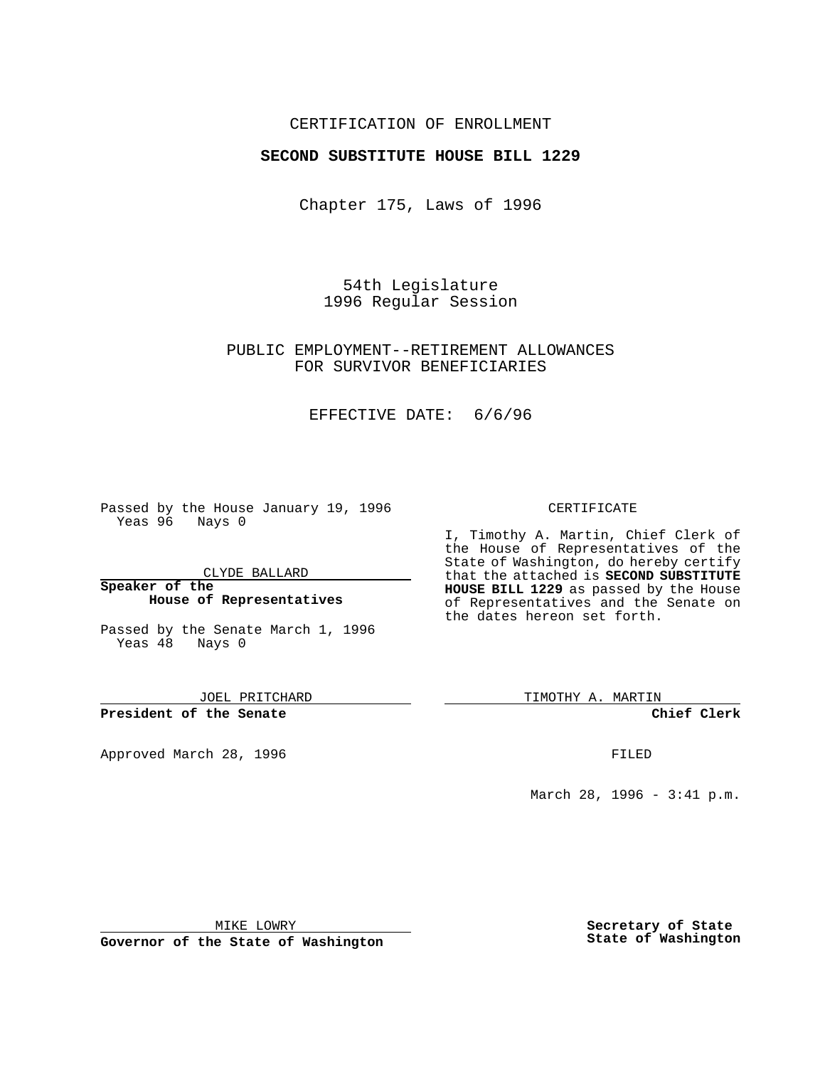# CERTIFICATION OF ENROLLMENT

## **SECOND SUBSTITUTE HOUSE BILL 1229**

Chapter 175, Laws of 1996

54th Legislature 1996 Regular Session

# PUBLIC EMPLOYMENT--RETIREMENT ALLOWANCES FOR SURVIVOR BENEFICIARIES

### EFFECTIVE DATE: 6/6/96

Passed by the House January 19, 1996 Yeas 96 Nays 0

CLYDE BALLARD

#### **Speaker of the House of Representatives**

Passed by the Senate March 1, 1996 Yeas 48 Nays 0

JOEL PRITCHARD

**President of the Senate**

Approved March 28, 1996 FILED

### CERTIFICATE

I, Timothy A. Martin, Chief Clerk of the House of Representatives of the State of Washington, do hereby certify that the attached is **SECOND SUBSTITUTE HOUSE BILL 1229** as passed by the House of Representatives and the Senate on the dates hereon set forth.

TIMOTHY A. MARTIN

**Chief Clerk**

March 28, 1996 - 3:41 p.m.

MIKE LOWRY

**Governor of the State of Washington**

**Secretary of State State of Washington**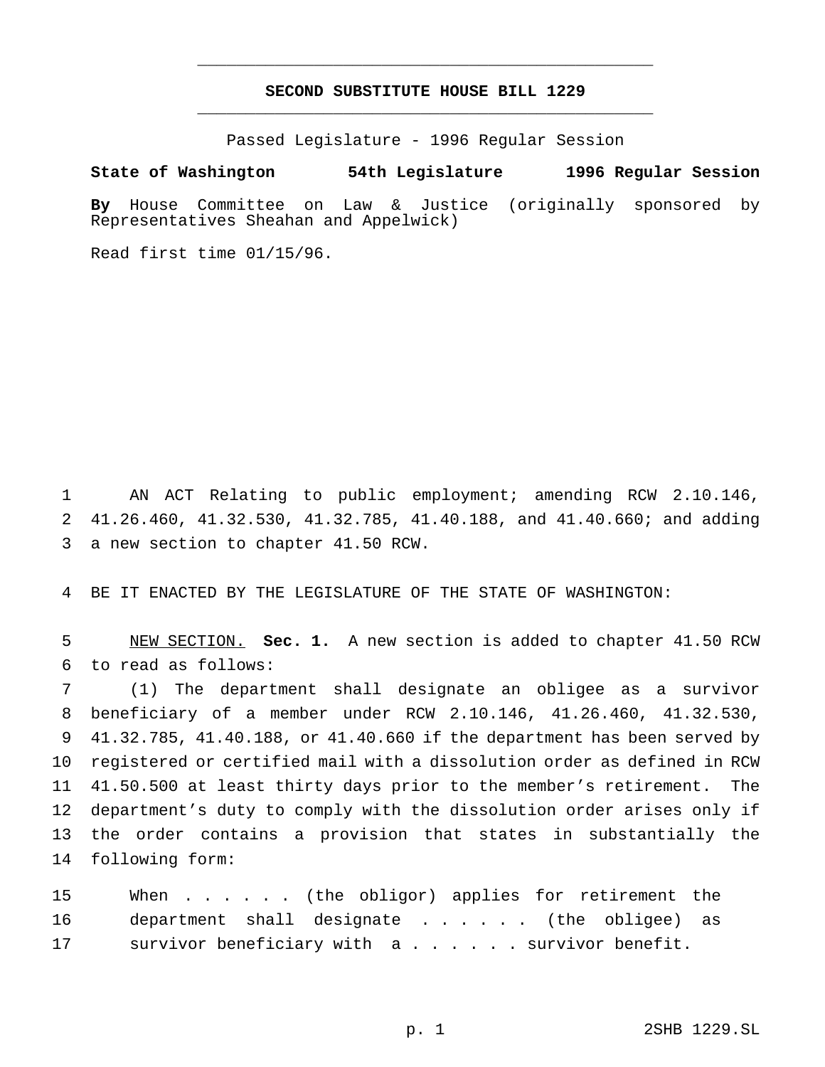# **SECOND SUBSTITUTE HOUSE BILL 1229** \_\_\_\_\_\_\_\_\_\_\_\_\_\_\_\_\_\_\_\_\_\_\_\_\_\_\_\_\_\_\_\_\_\_\_\_\_\_\_\_\_\_\_\_\_\_\_

\_\_\_\_\_\_\_\_\_\_\_\_\_\_\_\_\_\_\_\_\_\_\_\_\_\_\_\_\_\_\_\_\_\_\_\_\_\_\_\_\_\_\_\_\_\_\_

Passed Legislature - 1996 Regular Session

#### **State of Washington 54th Legislature 1996 Regular Session**

**By** House Committee on Law & Justice (originally sponsored by Representatives Sheahan and Appelwick)

Read first time 01/15/96.

 AN ACT Relating to public employment; amending RCW 2.10.146, 41.26.460, 41.32.530, 41.32.785, 41.40.188, and 41.40.660; and adding a new section to chapter 41.50 RCW.

BE IT ENACTED BY THE LEGISLATURE OF THE STATE OF WASHINGTON:

 NEW SECTION. **Sec. 1.** A new section is added to chapter 41.50 RCW to read as follows:

 (1) The department shall designate an obligee as a survivor beneficiary of a member under RCW 2.10.146, 41.26.460, 41.32.530, 41.32.785, 41.40.188, or 41.40.660 if the department has been served by registered or certified mail with a dissolution order as defined in RCW 41.50.500 at least thirty days prior to the member's retirement. The department's duty to comply with the dissolution order arises only if the order contains a provision that states in substantially the following form:

15 When . . . . . (the obligor) applies for retirement the department shall designate ...... (the obligee) as survivor beneficiary with a...... survivor benefit.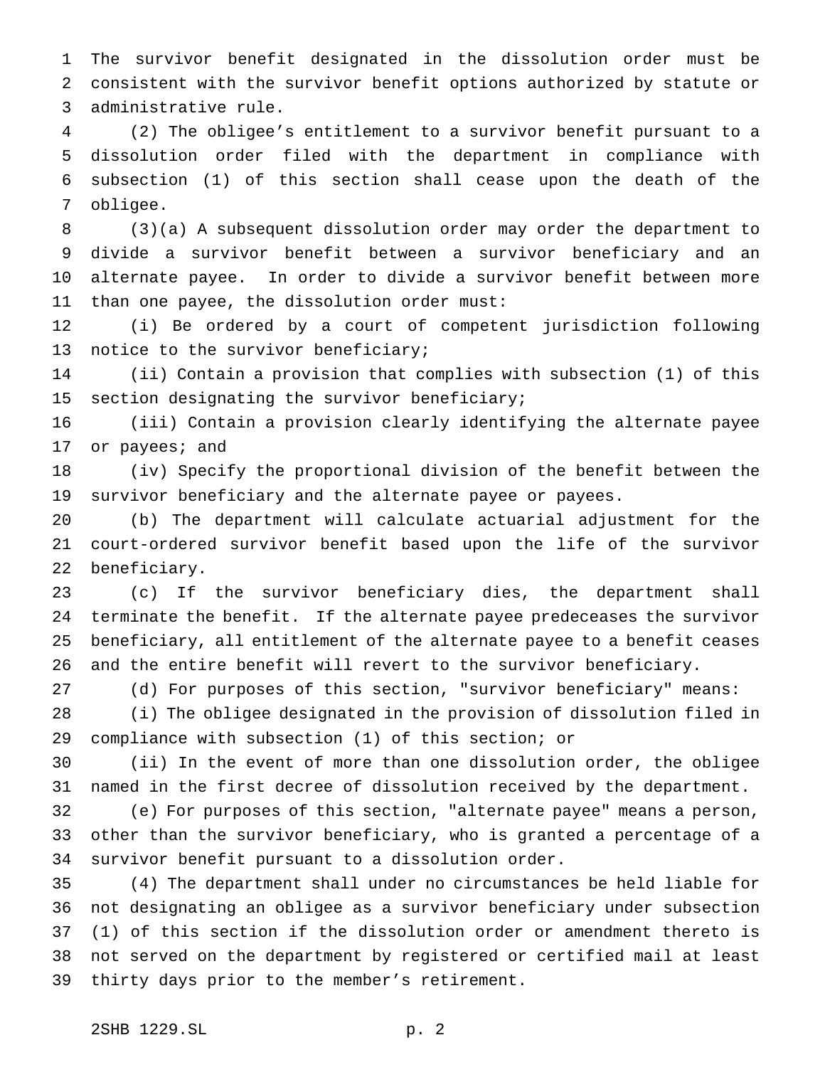The survivor benefit designated in the dissolution order must be consistent with the survivor benefit options authorized by statute or administrative rule.

 (2) The obligee's entitlement to a survivor benefit pursuant to a dissolution order filed with the department in compliance with subsection (1) of this section shall cease upon the death of the obligee.

 (3)(a) A subsequent dissolution order may order the department to divide a survivor benefit between a survivor beneficiary and an alternate payee. In order to divide a survivor benefit between more than one payee, the dissolution order must:

 (i) Be ordered by a court of competent jurisdiction following notice to the survivor beneficiary;

 (ii) Contain a provision that complies with subsection (1) of this section designating the survivor beneficiary;

 (iii) Contain a provision clearly identifying the alternate payee or payees; and

 (iv) Specify the proportional division of the benefit between the survivor beneficiary and the alternate payee or payees.

 (b) The department will calculate actuarial adjustment for the court-ordered survivor benefit based upon the life of the survivor beneficiary.

 (c) If the survivor beneficiary dies, the department shall terminate the benefit. If the alternate payee predeceases the survivor beneficiary, all entitlement of the alternate payee to a benefit ceases and the entire benefit will revert to the survivor beneficiary.

(d) For purposes of this section, "survivor beneficiary" means:

 (i) The obligee designated in the provision of dissolution filed in compliance with subsection (1) of this section; or

 (ii) In the event of more than one dissolution order, the obligee named in the first decree of dissolution received by the department.

 (e) For purposes of this section, "alternate payee" means a person, other than the survivor beneficiary, who is granted a percentage of a survivor benefit pursuant to a dissolution order.

 (4) The department shall under no circumstances be held liable for not designating an obligee as a survivor beneficiary under subsection (1) of this section if the dissolution order or amendment thereto is not served on the department by registered or certified mail at least thirty days prior to the member's retirement.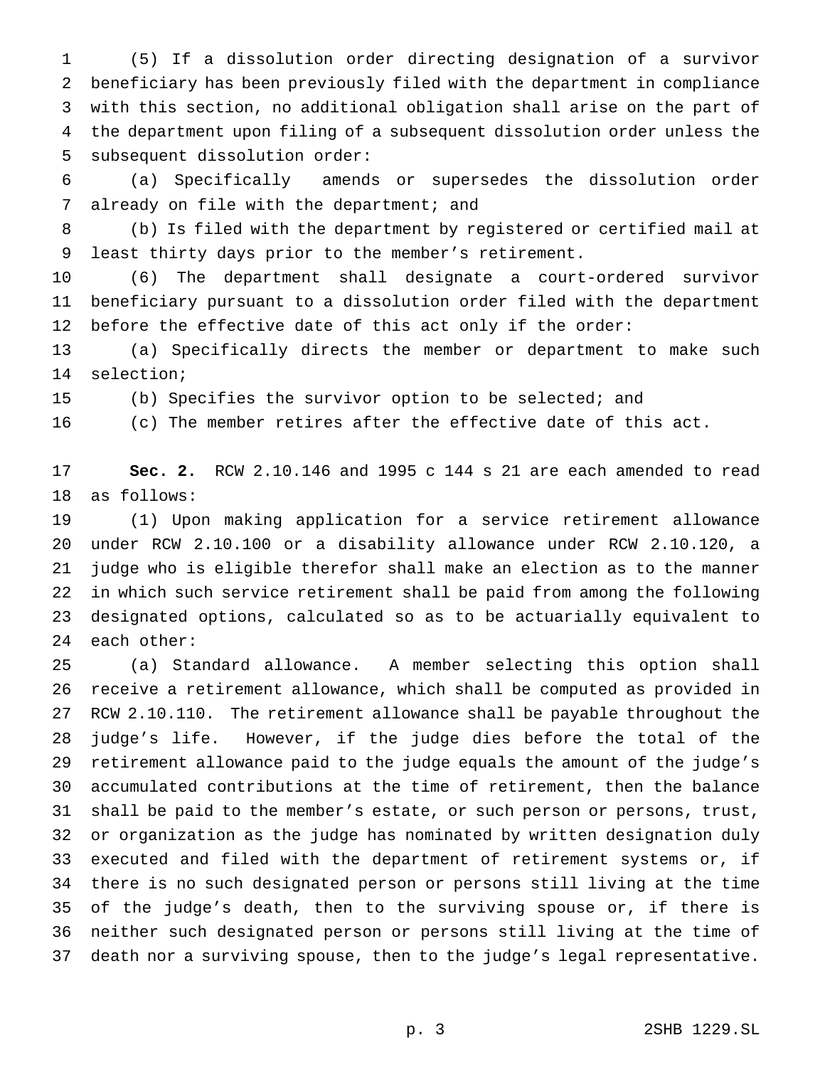(5) If a dissolution order directing designation of a survivor beneficiary has been previously filed with the department in compliance with this section, no additional obligation shall arise on the part of the department upon filing of a subsequent dissolution order unless the subsequent dissolution order:

 (a) Specifically amends or supersedes the dissolution order 7 already on file with the department; and

 (b) Is filed with the department by registered or certified mail at least thirty days prior to the member's retirement.

 (6) The department shall designate a court-ordered survivor beneficiary pursuant to a dissolution order filed with the department before the effective date of this act only if the order:

 (a) Specifically directs the member or department to make such selection;

(b) Specifies the survivor option to be selected; and

(c) The member retires after the effective date of this act.

 **Sec. 2.** RCW 2.10.146 and 1995 c 144 s 21 are each amended to read as follows:

 (1) Upon making application for a service retirement allowance under RCW 2.10.100 or a disability allowance under RCW 2.10.120, a judge who is eligible therefor shall make an election as to the manner in which such service retirement shall be paid from among the following designated options, calculated so as to be actuarially equivalent to each other:

 (a) Standard allowance. A member selecting this option shall receive a retirement allowance, which shall be computed as provided in RCW 2.10.110. The retirement allowance shall be payable throughout the judge's life. However, if the judge dies before the total of the retirement allowance paid to the judge equals the amount of the judge's accumulated contributions at the time of retirement, then the balance shall be paid to the member's estate, or such person or persons, trust, or organization as the judge has nominated by written designation duly executed and filed with the department of retirement systems or, if there is no such designated person or persons still living at the time of the judge's death, then to the surviving spouse or, if there is neither such designated person or persons still living at the time of death nor a surviving spouse, then to the judge's legal representative.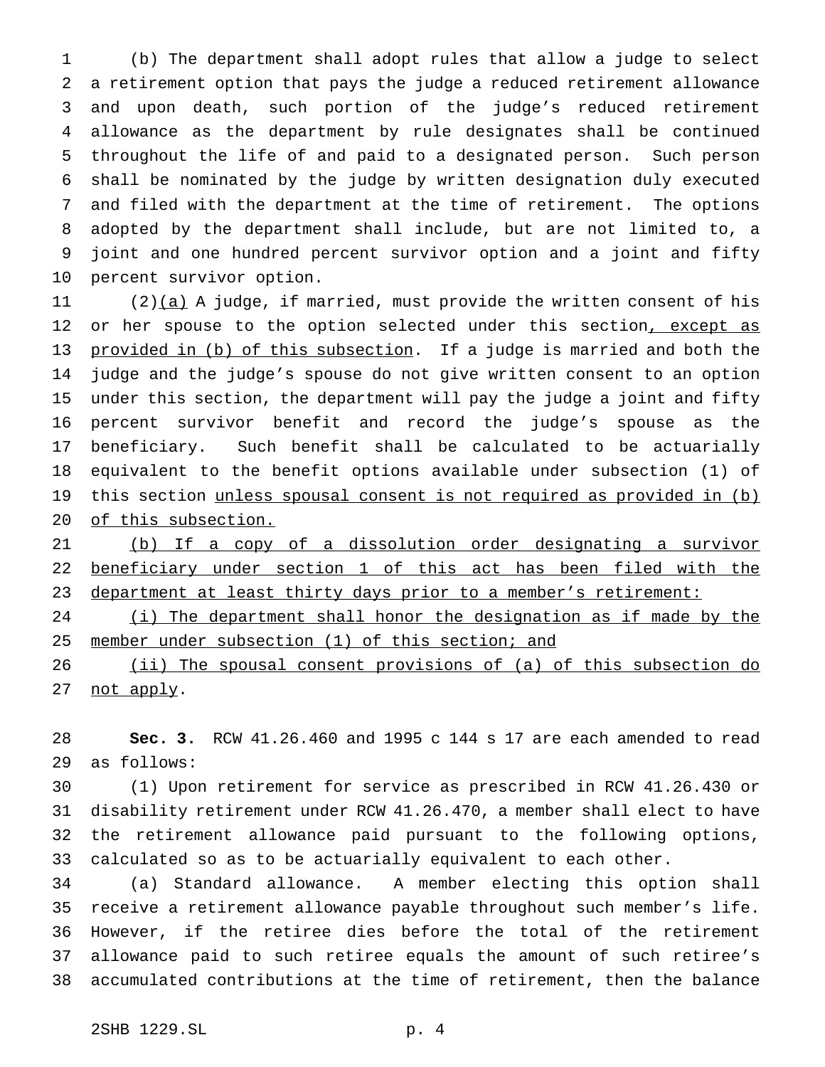(b) The department shall adopt rules that allow a judge to select a retirement option that pays the judge a reduced retirement allowance and upon death, such portion of the judge's reduced retirement allowance as the department by rule designates shall be continued throughout the life of and paid to a designated person. Such person shall be nominated by the judge by written designation duly executed and filed with the department at the time of retirement. The options adopted by the department shall include, but are not limited to, a joint and one hundred percent survivor option and a joint and fifty percent survivor option.

11 (2) $(a)$  A judge, if married, must provide the written consent of his 12 or her spouse to the option selected under this section, except as 13 provided in (b) of this subsection. If a judge is married and both the judge and the judge's spouse do not give written consent to an option under this section, the department will pay the judge a joint and fifty percent survivor benefit and record the judge's spouse as the beneficiary. Such benefit shall be calculated to be actuarially equivalent to the benefit options available under subsection (1) of 19 this section unless spousal consent is not required as provided in (b) of this subsection.

 (b) If a copy of a dissolution order designating a survivor beneficiary under section 1 of this act has been filed with the 23 department at least thirty days prior to a member's retirement:

24 (i) The department shall honor the designation as if made by the 25 member under subsection (1) of this section; and

26 (ii) The spousal consent provisions of (a) of this subsection do 27 not apply.

 **Sec. 3.** RCW 41.26.460 and 1995 c 144 s 17 are each amended to read as follows:

 (1) Upon retirement for service as prescribed in RCW 41.26.430 or disability retirement under RCW 41.26.470, a member shall elect to have the retirement allowance paid pursuant to the following options, calculated so as to be actuarially equivalent to each other.

 (a) Standard allowance. A member electing this option shall receive a retirement allowance payable throughout such member's life. However, if the retiree dies before the total of the retirement allowance paid to such retiree equals the amount of such retiree's accumulated contributions at the time of retirement, then the balance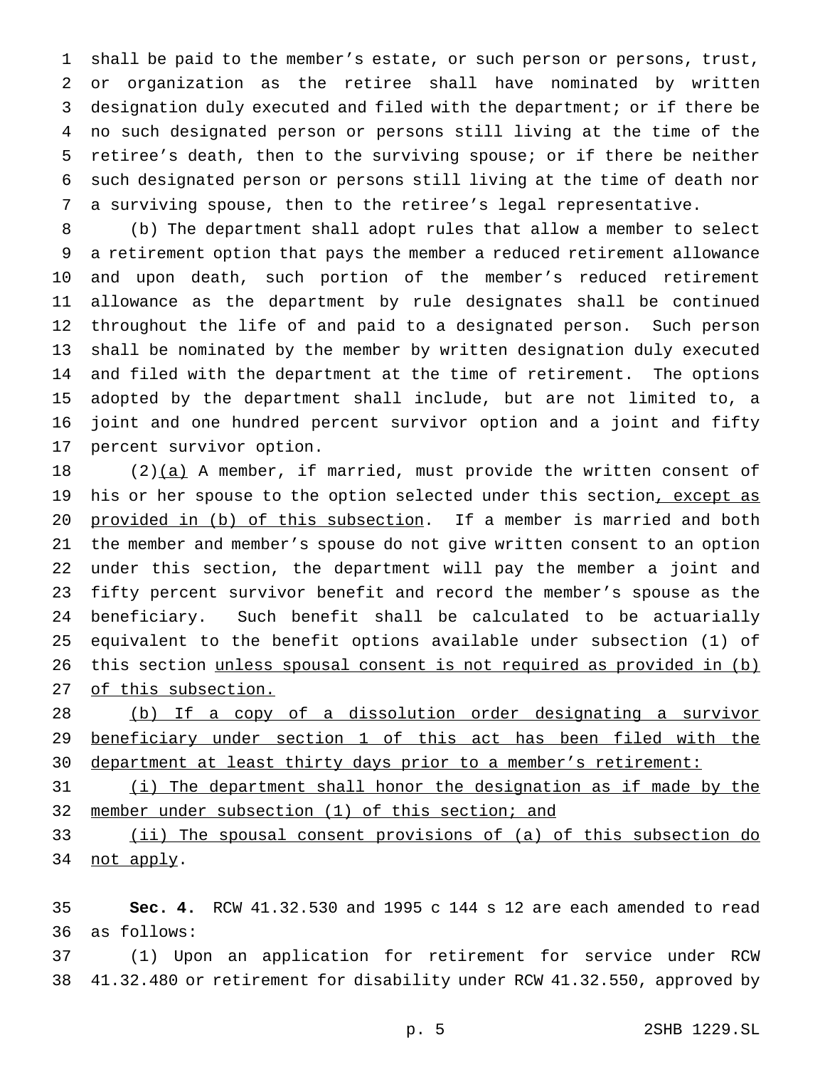shall be paid to the member's estate, or such person or persons, trust, or organization as the retiree shall have nominated by written designation duly executed and filed with the department; or if there be no such designated person or persons still living at the time of the retiree's death, then to the surviving spouse; or if there be neither such designated person or persons still living at the time of death nor a surviving spouse, then to the retiree's legal representative.

 (b) The department shall adopt rules that allow a member to select a retirement option that pays the member a reduced retirement allowance and upon death, such portion of the member's reduced retirement allowance as the department by rule designates shall be continued throughout the life of and paid to a designated person. Such person shall be nominated by the member by written designation duly executed and filed with the department at the time of retirement. The options adopted by the department shall include, but are not limited to, a joint and one hundred percent survivor option and a joint and fifty percent survivor option.

 $(2)(a)$  A member, if married, must provide the written consent of 19 his or her spouse to the option selected under this section, except as provided in (b) of this subsection. If a member is married and both the member and member's spouse do not give written consent to an option under this section, the department will pay the member a joint and fifty percent survivor benefit and record the member's spouse as the beneficiary. Such benefit shall be calculated to be actuarially equivalent to the benefit options available under subsection (1) of 26 this section unless spousal consent is not required as provided in (b) of this subsection.

 (b) If a copy of a dissolution order designating a survivor beneficiary under section 1 of this act has been filed with the 30 department at least thirty days prior to a member's retirement:

 (i) The department shall honor the designation as if made by the 32 member under subsection (1) of this section; and

 (ii) The spousal consent provisions of (a) of this subsection do not apply.

 **Sec. 4.** RCW 41.32.530 and 1995 c 144 s 12 are each amended to read as follows:

 (1) Upon an application for retirement for service under RCW 41.32.480 or retirement for disability under RCW 41.32.550, approved by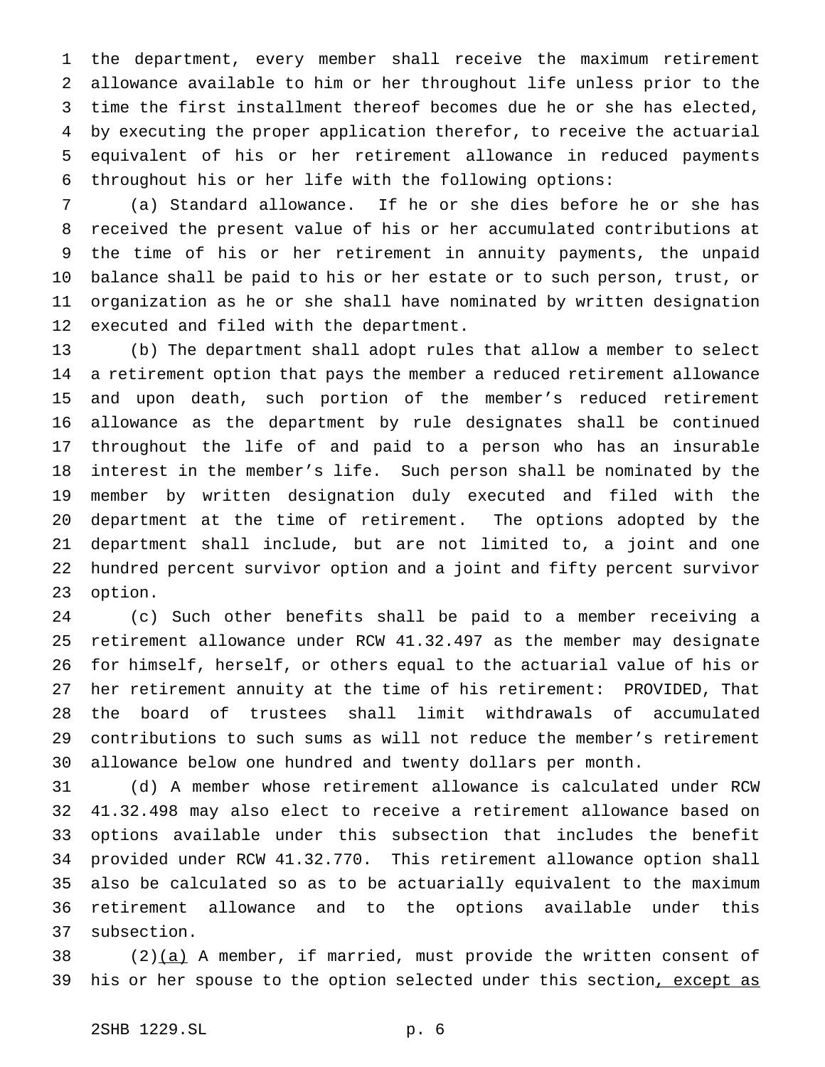the department, every member shall receive the maximum retirement allowance available to him or her throughout life unless prior to the time the first installment thereof becomes due he or she has elected, by executing the proper application therefor, to receive the actuarial equivalent of his or her retirement allowance in reduced payments throughout his or her life with the following options:

 (a) Standard allowance. If he or she dies before he or she has received the present value of his or her accumulated contributions at the time of his or her retirement in annuity payments, the unpaid balance shall be paid to his or her estate or to such person, trust, or organization as he or she shall have nominated by written designation executed and filed with the department.

 (b) The department shall adopt rules that allow a member to select a retirement option that pays the member a reduced retirement allowance and upon death, such portion of the member's reduced retirement allowance as the department by rule designates shall be continued throughout the life of and paid to a person who has an insurable interest in the member's life. Such person shall be nominated by the member by written designation duly executed and filed with the department at the time of retirement. The options adopted by the department shall include, but are not limited to, a joint and one hundred percent survivor option and a joint and fifty percent survivor option.

 (c) Such other benefits shall be paid to a member receiving a retirement allowance under RCW 41.32.497 as the member may designate for himself, herself, or others equal to the actuarial value of his or her retirement annuity at the time of his retirement: PROVIDED, That the board of trustees shall limit withdrawals of accumulated contributions to such sums as will not reduce the member's retirement allowance below one hundred and twenty dollars per month.

 (d) A member whose retirement allowance is calculated under RCW 41.32.498 may also elect to receive a retirement allowance based on options available under this subsection that includes the benefit provided under RCW 41.32.770. This retirement allowance option shall also be calculated so as to be actuarially equivalent to the maximum retirement allowance and to the options available under this subsection.

38 (2) $(a)$  A member, if married, must provide the written consent of 39 his or her spouse to the option selected under this section, except as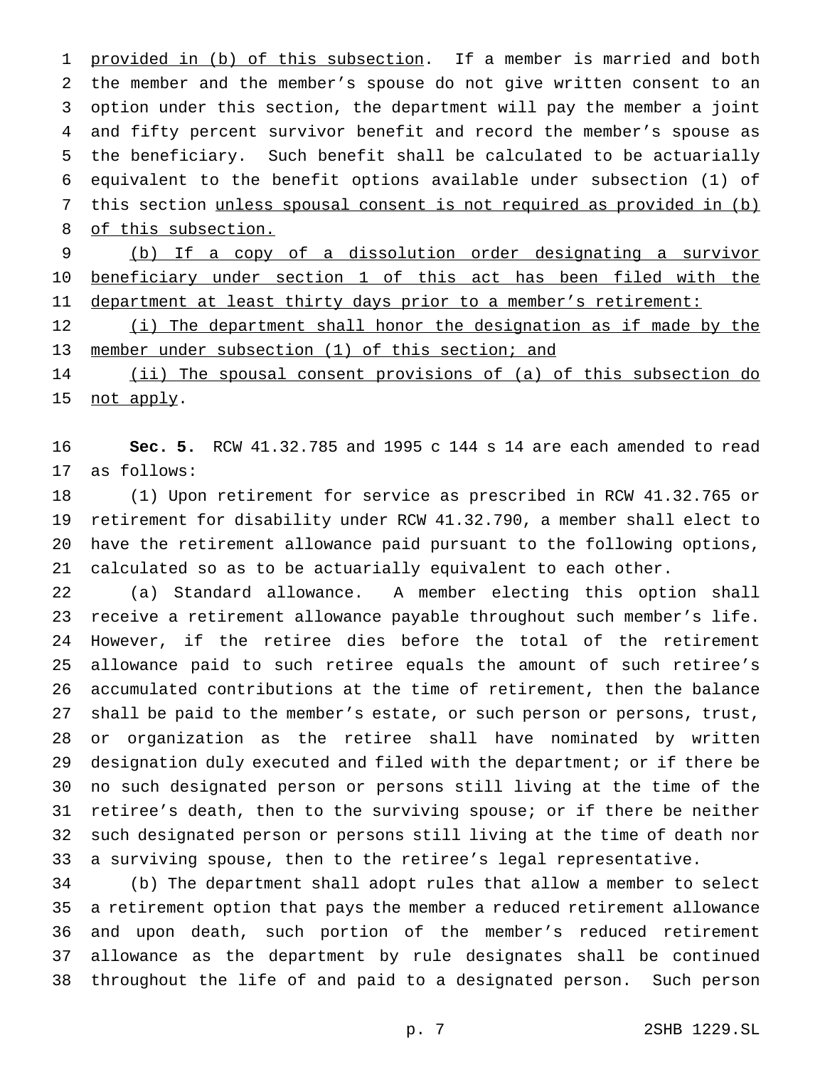1 provided in (b) of this subsection. If a member is married and both the member and the member's spouse do not give written consent to an option under this section, the department will pay the member a joint and fifty percent survivor benefit and record the member's spouse as the beneficiary. Such benefit shall be calculated to be actuarially equivalent to the benefit options available under subsection (1) of this section unless spousal consent is not required as provided in (b) of this subsection.

 (b) If a copy of a dissolution order designating a survivor beneficiary under section 1 of this act has been filed with the 11 department at least thirty days prior to a member's retirement:

12 (i) The department shall honor the designation as if made by the member under subsection (1) of this section; and

 (ii) The spousal consent provisions of (a) of this subsection do not apply.

 **Sec. 5.** RCW 41.32.785 and 1995 c 144 s 14 are each amended to read as follows:

 (1) Upon retirement for service as prescribed in RCW 41.32.765 or retirement for disability under RCW 41.32.790, a member shall elect to have the retirement allowance paid pursuant to the following options, calculated so as to be actuarially equivalent to each other.

 (a) Standard allowance. A member electing this option shall receive a retirement allowance payable throughout such member's life. However, if the retiree dies before the total of the retirement allowance paid to such retiree equals the amount of such retiree's accumulated contributions at the time of retirement, then the balance shall be paid to the member's estate, or such person or persons, trust, or organization as the retiree shall have nominated by written designation duly executed and filed with the department; or if there be no such designated person or persons still living at the time of the retiree's death, then to the surviving spouse; or if there be neither such designated person or persons still living at the time of death nor a surviving spouse, then to the retiree's legal representative.

 (b) The department shall adopt rules that allow a member to select a retirement option that pays the member a reduced retirement allowance and upon death, such portion of the member's reduced retirement allowance as the department by rule designates shall be continued throughout the life of and paid to a designated person. Such person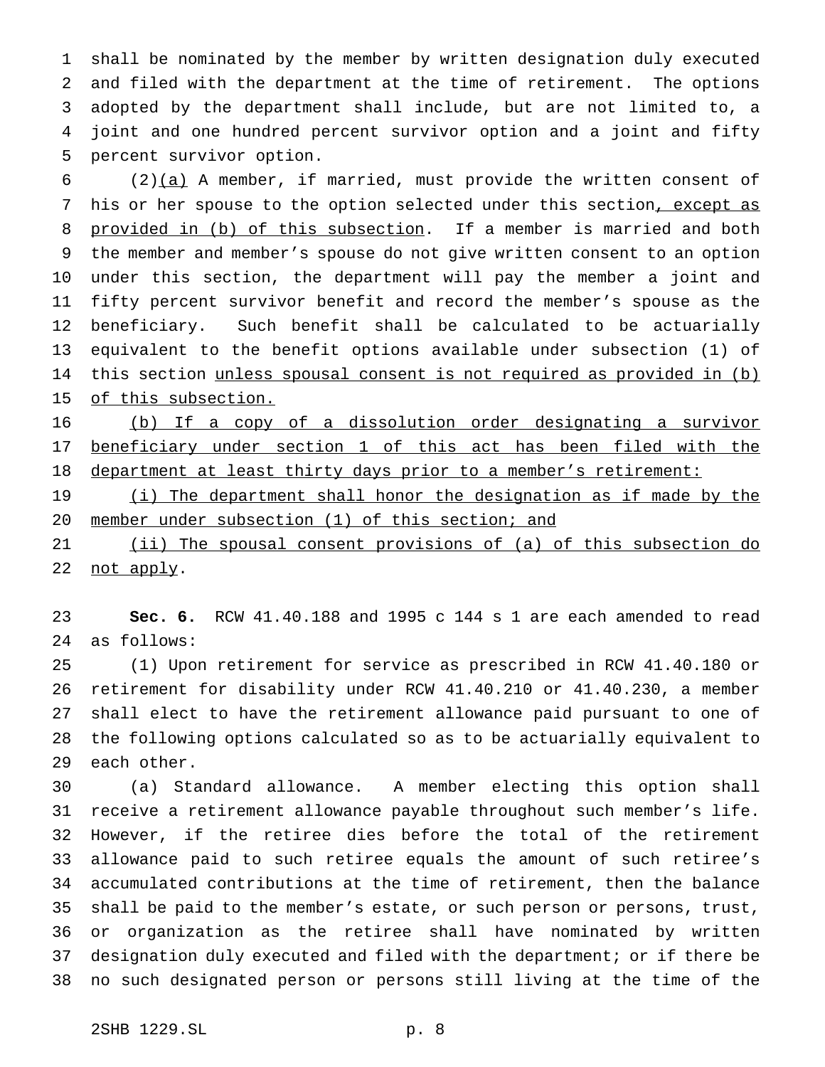shall be nominated by the member by written designation duly executed and filed with the department at the time of retirement. The options adopted by the department shall include, but are not limited to, a joint and one hundred percent survivor option and a joint and fifty percent survivor option.

6 (2)(a) A member, if married, must provide the written consent of 7 his or her spouse to the option selected under this section, except as 8 provided in (b) of this subsection. If a member is married and both the member and member's spouse do not give written consent to an option under this section, the department will pay the member a joint and fifty percent survivor benefit and record the member's spouse as the beneficiary. Such benefit shall be calculated to be actuarially equivalent to the benefit options available under subsection (1) of 14 this section unless spousal consent is not required as provided in (b) 15 of this subsection.

 (b) If a copy of a dissolution order designating a survivor beneficiary under section 1 of this act has been filed with the 18 department at least thirty days prior to a member's retirement:

19 (i) The department shall honor the designation as if made by the 20 member under subsection (1) of this section; and

21 (ii) The spousal consent provisions of (a) of this subsection do 22 not apply.

 **Sec. 6.** RCW 41.40.188 and 1995 c 144 s 1 are each amended to read as follows:

 (1) Upon retirement for service as prescribed in RCW 41.40.180 or retirement for disability under RCW 41.40.210 or 41.40.230, a member shall elect to have the retirement allowance paid pursuant to one of the following options calculated so as to be actuarially equivalent to each other.

 (a) Standard allowance. A member electing this option shall receive a retirement allowance payable throughout such member's life. However, if the retiree dies before the total of the retirement allowance paid to such retiree equals the amount of such retiree's accumulated contributions at the time of retirement, then the balance shall be paid to the member's estate, or such person or persons, trust, or organization as the retiree shall have nominated by written designation duly executed and filed with the department; or if there be no such designated person or persons still living at the time of the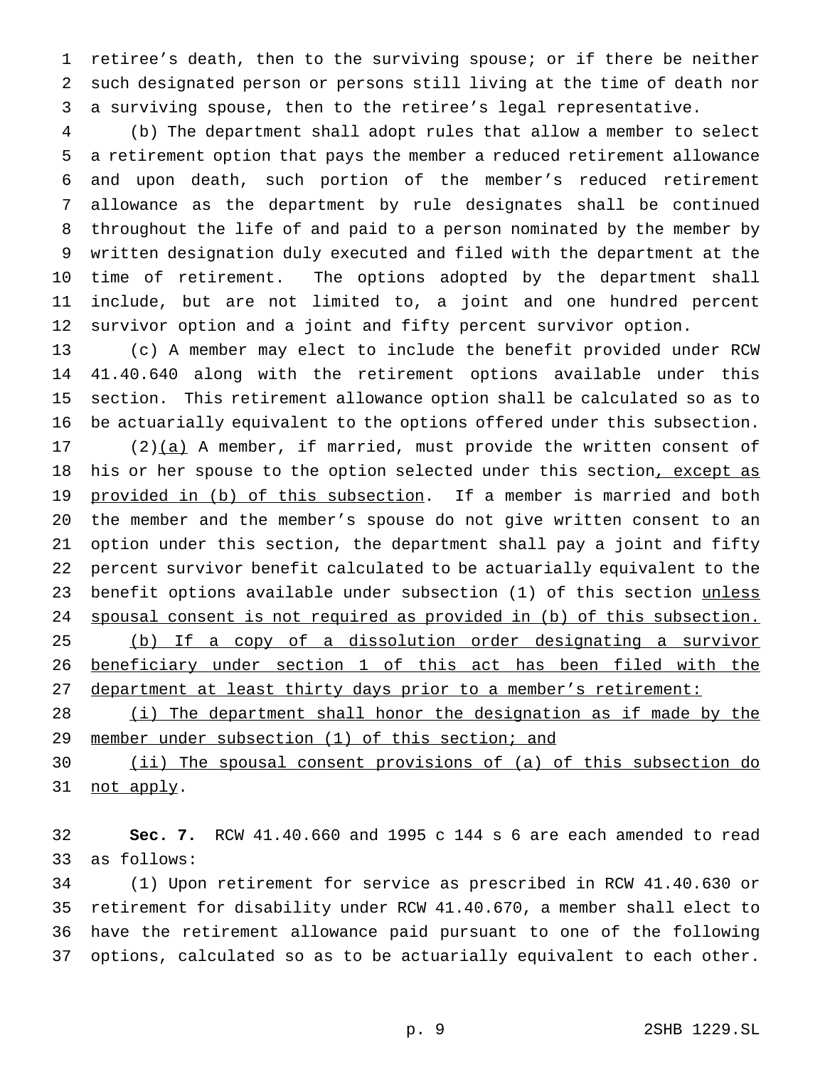retiree's death, then to the surviving spouse; or if there be neither such designated person or persons still living at the time of death nor a surviving spouse, then to the retiree's legal representative.

 (b) The department shall adopt rules that allow a member to select a retirement option that pays the member a reduced retirement allowance and upon death, such portion of the member's reduced retirement allowance as the department by rule designates shall be continued throughout the life of and paid to a person nominated by the member by written designation duly executed and filed with the department at the time of retirement. The options adopted by the department shall include, but are not limited to, a joint and one hundred percent survivor option and a joint and fifty percent survivor option.

 (c) A member may elect to include the benefit provided under RCW 41.40.640 along with the retirement options available under this section. This retirement allowance option shall be calculated so as to be actuarially equivalent to the options offered under this subsection.

 (2) $(a)$  A member, if married, must provide the written consent of 18 his or her spouse to the option selected under this section, except as 19 provided in (b) of this subsection. If a member is married and both the member and the member's spouse do not give written consent to an option under this section, the department shall pay a joint and fifty percent survivor benefit calculated to be actuarially equivalent to the 23 benefit options available under subsection (1) of this section unless spousal consent is not required as provided in (b) of this subsection. (b) If a copy of a dissolution order designating a survivor beneficiary under section 1 of this act has been filed with the department at least thirty days prior to a member's retirement:

28 (i) The department shall honor the designation as if made by the 29 member under subsection (1) of this section; and

 (ii) The spousal consent provisions of (a) of this subsection do 31 not apply.

 **Sec. 7.** RCW 41.40.660 and 1995 c 144 s 6 are each amended to read as follows:

 (1) Upon retirement for service as prescribed in RCW 41.40.630 or retirement for disability under RCW 41.40.670, a member shall elect to have the retirement allowance paid pursuant to one of the following options, calculated so as to be actuarially equivalent to each other.